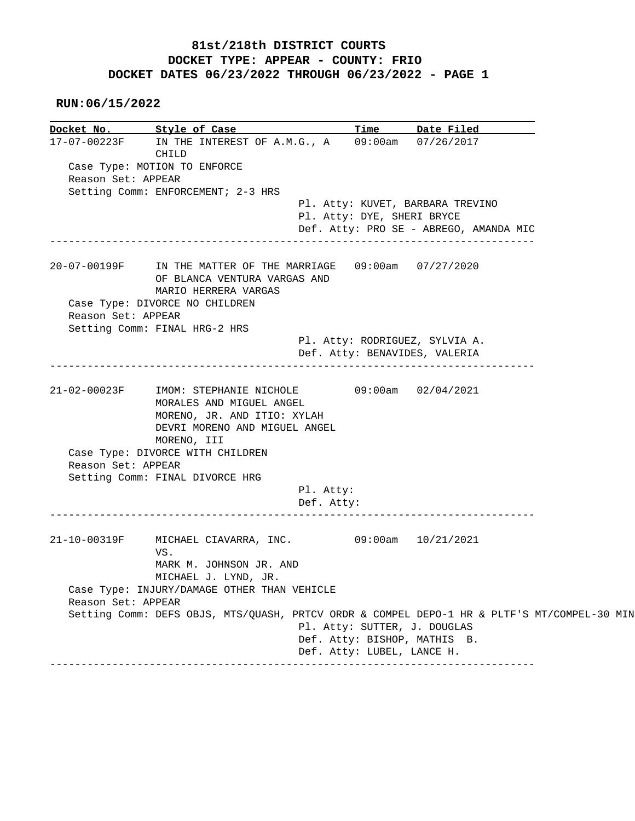## **81st/218th DISTRICT COURTS DOCKET TYPE: APPEAR - COUNTY: FRIO DOCKET DATES 06/23/2022 THROUGH 06/23/2022 - PAGE 1**

 **RUN:06/15/2022**

**Docket No. Style of Case Time Date Filed**  17-07-00223F IN THE INTEREST OF A.M.G., A 09:00am 07/26/2017 CHILD Case Type: MOTION TO ENFORCE Reason Set: APPEAR Setting Comm: ENFORCEMENT; 2-3 HRS Pl. Atty: KUVET, BARBARA TREVINO Pl. Atty: DYE, SHERI BRYCE Def. Atty: PRO SE - ABREGO, AMANDA MIC ------------------------------------------------------------------------------ 20-07-00199F IN THE MATTER OF THE MARRIAGE 09:00am 07/27/2020 OF BLANCA VENTURA VARGAS AND MARIO HERRERA VARGAS Case Type: DIVORCE NO CHILDREN Reason Set: APPEAR Setting Comm: FINAL HRG-2 HRS Pl. Atty: RODRIGUEZ, SYLVIA A. Def. Atty: BENAVIDES, VALERIA ------------------------------------------------------------------------------ 21-02-00023F IMOM: STEPHANIE NICHOLE 09:00am 02/04/2021 MORALES AND MIGUEL ANGEL MORENO, JR. AND ITIO: XYLAH DEVRI MORENO AND MIGUEL ANGEL MORENO, III Case Type: DIVORCE WITH CHILDREN Reason Set: APPEAR Setting Comm: FINAL DIVORCE HRG Pl. Atty: Def. Atty: ------------------------------------------------------------------------------ 21-10-00319F MICHAEL CIAVARRA, INC. 09:00am 10/21/2021 VS. MARK M. JOHNSON JR. AND MICHAEL J. LYND, JR. Case Type: INJURY/DAMAGE OTHER THAN VEHICLE Reason Set: APPEAR Setting Comm: DEFS OBJS, MTS/QUASH, PRTCV ORDR & COMPEL DEPO-1 HR & PLTF'S MT/COMPEL-30 MIN Pl. Atty: SUTTER, J. DOUGLAS Def. Atty: BISHOP, MATHIS B. Def. Atty: LUBEL, LANCE H. ------------------------------------------------------------------------------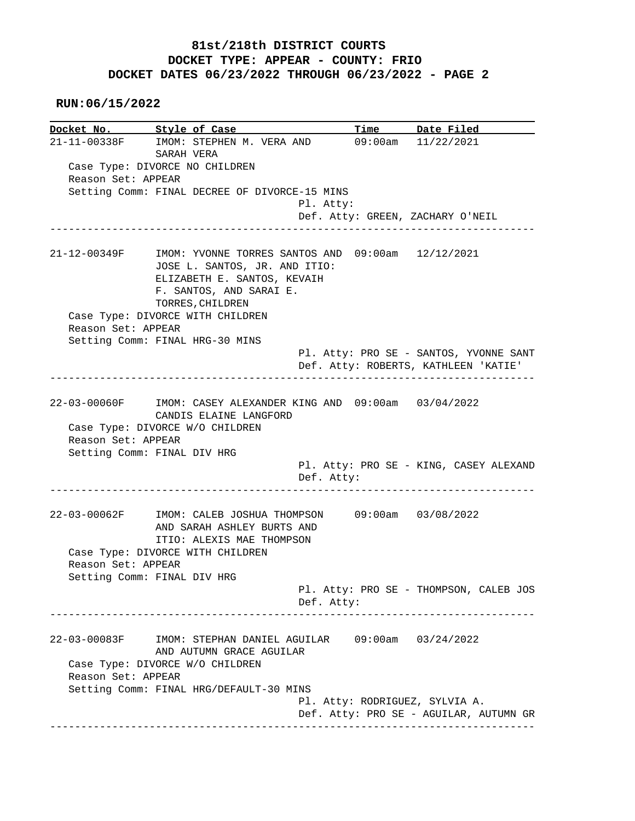## **81st/218th DISTRICT COURTS DOCKET TYPE: APPEAR - COUNTY: FRIO DOCKET DATES 06/23/2022 THROUGH 06/23/2022 - PAGE 2**

 **RUN:06/15/2022**

**Docket No. Style of Case Time Date Filed**  21-11-00338F IMOM: STEPHEN M. VERA AND 09:00am 11/22/2021 SARAH VERA Case Type: DIVORCE NO CHILDREN Reason Set: APPEAR Setting Comm: FINAL DECREE OF DIVORCE-15 MINS Pl. Atty: Def. Atty: GREEN, ZACHARY O'NEIL ------------------------------------------------------------------------------ 21-12-00349F IMOM: YVONNE TORRES SANTOS AND 09:00am 12/12/2021 JOSE L. SANTOS, JR. AND ITIO: ELIZABETH E. SANTOS, KEVAIH F. SANTOS, AND SARAI E. TORRES, CHILDREN Case Type: DIVORCE WITH CHILDREN Reason Set: APPEAR Setting Comm: FINAL HRG-30 MINS Pl. Atty: PRO SE - SANTOS, YVONNE SANT Def. Atty: ROBERTS, KATHLEEN 'KATIE' ------------------------------------------------------------------------------ 22-03-00060F IMOM: CASEY ALEXANDER KING AND 09:00am 03/04/2022 CANDIS ELAINE LANGFORD Case Type: DIVORCE W/O CHILDREN Reason Set: APPEAR Setting Comm: FINAL DIV HRG Pl. Atty: PRO SE - KING, CASEY ALEXAND Def. Atty: ------------------------------------------------------------------------------ 22-03-00062F IMOM: CALEB JOSHUA THOMPSON 09:00am 03/08/2022 AND SARAH ASHLEY BURTS AND ITIO: ALEXIS MAE THOMPSON Case Type: DIVORCE WITH CHILDREN Reason Set: APPEAR Setting Comm: FINAL DIV HRG Pl. Atty: PRO SE - THOMPSON, CALEB JOS Def. Atty: ------------------------------------------------------------------------------ 22-03-00083F IMOM: STEPHAN DANIEL AGUILAR 09:00am 03/24/2022 AND AUTUMN GRACE AGUILAR Case Type: DIVORCE W/O CHILDREN Reason Set: APPEAR Setting Comm: FINAL HRG/DEFAULT-30 MINS Pl. Atty: RODRIGUEZ, SYLVIA A. Def. Atty: PRO SE - AGUILAR, AUTUMN GR ------------------------------------------------------------------------------